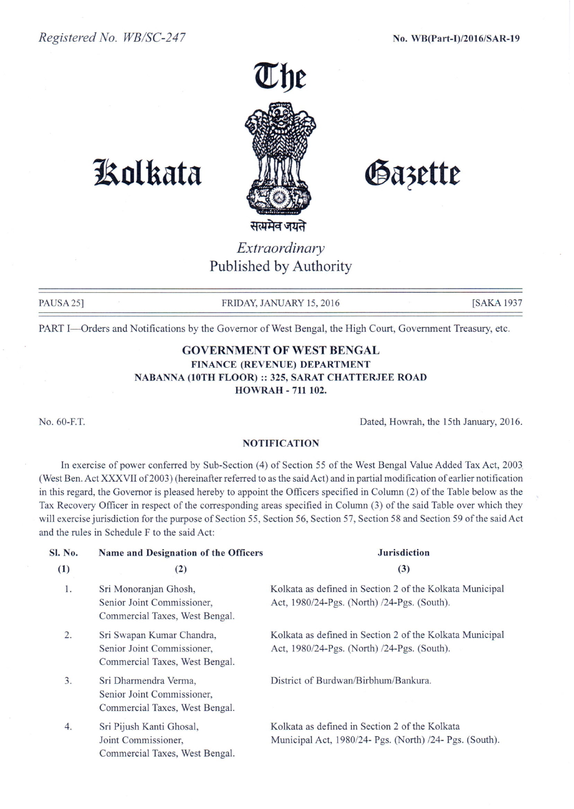

# **1!olkata**

Gazette

सर

## *Extraordinary* Published by Authority

PAUSA 25] FRIDAY, JANUARY 15, 2016 **FRIDAY, 15, 2016** [SAKA 1937

PART I-Orders and Notifications by the Governor of West Bengal, the High Court, Government Treasury, etc.

### GOVERNMENT **OF** WEST BENGAL FINANCE (REVENUE) DEPARTMENT NABANNA (10TH FLOOR):: 325, SARAT CHATTERJEE ROAD HOWRAH - 711 102.

No.60-F.T.

Dated, Howrah, the 15th January, 2016.

#### **NOTIFICATION**

In exercise of power conferred by Sub-Section (4) of Section 55 of the West Bengal Value Added Tax Act, 2003. (West Ben. Act XXXVII of 2003) (hereinafter referred to as the said Act) and in partial modification of earlier notification in this regard, the Governor is pleased hereby to appoint the Officers specified in Column (2) of the Table below as the Tax Recovery Officer in respect of the corresponding areas specified in Column (3) of the said Table over which they will exercise jurisdiction for the purpose of Section 55, Section 56, Section 57, Section 58 and Section 59 of the said Act and the rules in Schedule F to the said Act:

| Sl. No.<br>(1) | Name and Designation of the Officers<br>(2)                                               | <b>Jurisdiction</b><br>(3)                                                                                |
|----------------|-------------------------------------------------------------------------------------------|-----------------------------------------------------------------------------------------------------------|
| 1.             | Sri Monoranjan Ghosh,<br>Senior Joint Commissioner,<br>Commercial Taxes, West Bengal.     | Kolkata as defined in Section 2 of the Kolkata Municipal<br>Act, 1980/24-Pgs. (North) /24-Pgs. (South).   |
| 2.             | Sri Swapan Kumar Chandra,<br>Senior Joint Commissioner,<br>Commercial Taxes, West Bengal. | Kolkata as defined in Section 2 of the Kolkata Municipal<br>Act, 1980/24-Pgs. (North) /24-Pgs. (South).   |
| 3.             | Sri Dharmendra Verma,<br>Senior Joint Commissioner,<br>Commercial Taxes, West Bengal.     | District of Burdwan/Birbhum/Bankura.                                                                      |
| 4.             | Sri Pijush Kanti Ghosal,<br>Joint Commissioner,<br>Commercial Taxes, West Bengal.         | Kolkata as defined in Section 2 of the Kolkata<br>Municipal Act, 1980/24- Pgs. (North) /24- Pgs. (South). |